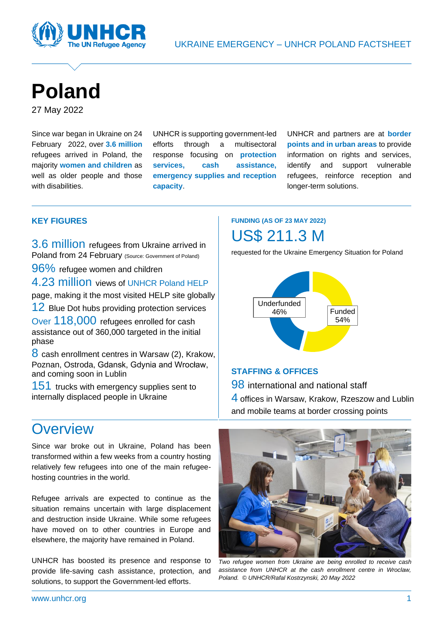

# **Poland**

27 May 2022

Since war began in Ukraine on 24 February 2022, over **3.6 million** refugees arrived in Poland, the majority **women and children** as well as older people and those with disabilities.

UNHCR is supporting government-led efforts through a multisectoral response focusing on **protection services, cash assistance, emergency supplies and reception capacity**.

UNHCR and partners are at **border points and in urban areas** to provide information on rights and services, identify and support vulnerable refugees, reinforce reception and longer-term solutions.

#### **KEY FIGURES**

3.6 million refugees from Ukraine arrived in Poland from 24 February (Source: Government of Poland)

96% refugee women and children

4.23 million views of [UNHCR Poland HELP](https://help.unhcr.org/poland/)

page, making it the most visited HELP site globally

12 Blue Dot hubs providing protection services

Over 118,000 refugees enrolled for cash assistance out of 360,000 targeted in the initial phase

8 cash enrollment centres in Warsaw (2), Krakow, Poznan, Ostroda, Gdansk, Gdynia and Wrocław, and coming soon in Lublin

151 trucks with emergency supplies sent to internally displaced people in Ukraine

### **Overview**

Since war broke out in Ukraine, Poland has been transformed within a few weeks from a country hosting relatively few refugees into one of the main refugeehosting countries in the world.

Refugee arrivals are expected to continue as the situation remains uncertain with large displacement and destruction inside Ukraine. While some refugees have moved on to other countries in Europe and elsewhere, the majority have remained in Poland.

UNHCR has boosted its presence and response to provide life-saving cash assistance, protection, and solutions, to support the Government-led efforts.

### **FUNDING (AS OF 23 MAY 2022)** US\$ 211.3 M

requested for the Ukraine Emergency Situation for Poland



#### **STAFFING & OFFICES**

**98** international and national staff 4 offices in Warsaw, Krakow, Rzeszow and Lublin and mobile teams at border crossing points



*Two refugee women from Ukraine are being enrolled to receive cash assistance from UNHCR at the cash enrollment centre in Wroclaw, Poland. © UNHCR/Rafal Kostrzynski, 20 May 2022*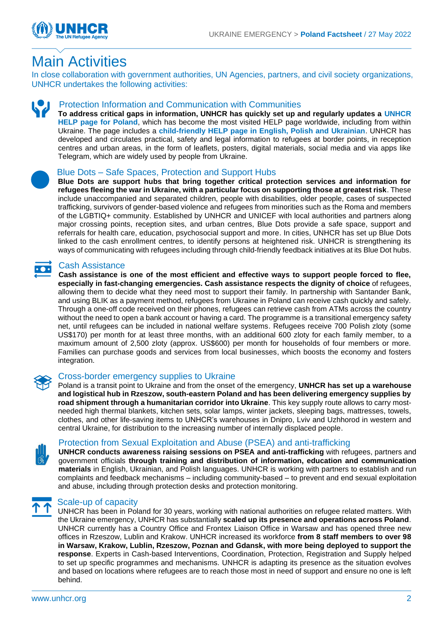

## Main Activities

In close collaboration with government authorities, UN Agencies, partners, and civil society organizations, UNHCR undertakes the following activities:



#### Protection Information and Communication with Communities

**To address critical gaps in information, UNHCR has quickly set up and regularly updates a [UNHCR](https://help.unhcr.org/poland/)  [HELP page for Poland](https://help.unhcr.org/poland/)**, which has become the most visited HELP page worldwide, including from within Ukraine. The page includes a **[child-friendly HELP page in English, Polish and Ukrainian](https://help.unhcr.org/poland/information-for-new-arrivals-from-ukraine/are-you-under-age-18/)**. UNHCR has developed and circulates practical, safety and legal information to refugees at border points, in reception centres and urban areas, in the form of leaflets, posters, digital materials, social media and via apps like Telegram, which are widely used by people from Ukraine.



#### Blue Dots – Safe Spaces, Protection and Support Hubs

**Blue Dots are support hubs that bring together critical protection services and information for refugees fleeing the war in Ukraine, with a particular focus on supporting those at greatest risk**. These include unaccompanied and separated children, people with disabilities, older people, cases of suspected trafficking, survivors of gender-based violence and refugees from minorities such as the Roma and members of the LGBTIQ+ community. Established by UNHCR and UNICEF with local authorities and partners along major crossing points, reception sites, and urban centres, Blue Dots provide a safe space, support and referrals for health care, education, psychosocial support and more. In cities, UNHCR has set up Blue Dots linked to the cash enrollment centres, to identify persons at heightened risk. UNHCR is strengthening its ways of communicating with refugees including through child-friendly feedback initiatives at its Blue Dot hubs.

#### Cash Assistance

**Cash assistance is one of the most efficient and effective ways to support people forced to flee, especially in fast-changing emergencies. Cash assistance respects the dignity of choice** of refugees, allowing them to decide what they need most to support their family. In partnership with Santander Bank, and using BLIK as a payment method, refugees from Ukraine in Poland can receive cash quickly and safely. Through a one-off code received on their phones, refugees can retrieve cash from ATMs across the country without the need to open a bank account or having a card. The programme is a transitional emergency safety net, until refugees can be included in national welfare systems. Refugees receive 700 Polish zloty (some US\$170) per month for at least three months, with an additional 600 zloty for each family member, to a maximum amount of 2,500 zloty (approx. US\$600) per month for households of four members or more. Families can purchase goods and services from local businesses, which boosts the economy and fosters integration.



#### Cross-border emergency supplies to Ukraine

Poland is a transit point to Ukraine and from the onset of the emergency, **UNHCR has set up a warehouse and logistical hub in Rzeszow, south-eastern Poland and has been delivering emergency supplies by road shipment through a humanitarian corridor into Ukraine**. This key supply route allows to carry mostneeded high thermal blankets, kitchen sets, solar lamps, winter jackets, sleeping bags, mattresses, towels, clothes, and other life-saving items to UNHCR's warehouses in Dnipro, Lviv and Uzhhorod in western and central Ukraine, for distribution to the increasing number of internally displaced people.



#### [Protection from Sexual Exploitation and Abuse \(PSEA\)](https://www.humanitarianresponse.info/en/operations/bangladesh/protection-sexual-exploitation-and-abuse) and anti-trafficking

**UNHCR conducts awareness raising sessions on PSEA and anti-trafficking** with refugees, partners and government officials **through training and distribution of information, education and communication materials** in English, Ukrainian, and Polish languages. UNHCR is working with partners to establish and run complaints and feedback mechanisms – including community-based – to prevent and end sexual exploitation and abuse, including through protection desks and protection monitoring.



#### Scale-up of capacity

UNHCR has been in Poland for 30 years, working with national authorities on refugee related matters. With the Ukraine emergency, UNHCR has substantially **scaled up its presence and operations across Poland**. UNHCR currently has a Country Office and Frontex Liaison Office in Warsaw and has opened three new offices in Rzeszow, Lublin and Krakow. UNHCR increased its workforce **from 8 staff members to over 98 in Warsaw, Krakow, Lublin, Rzeszow, Poznan and Gdansk, with more being deployed to support the response**. Experts in Cash-based Interventions, Coordination, Protection, Registration and Supply helped to set up specific programmes and mechanisms. UNHCR is adapting its presence as the situation evolves and based on locations where refugees are to reach those most in need of support and ensure no one is left behind.